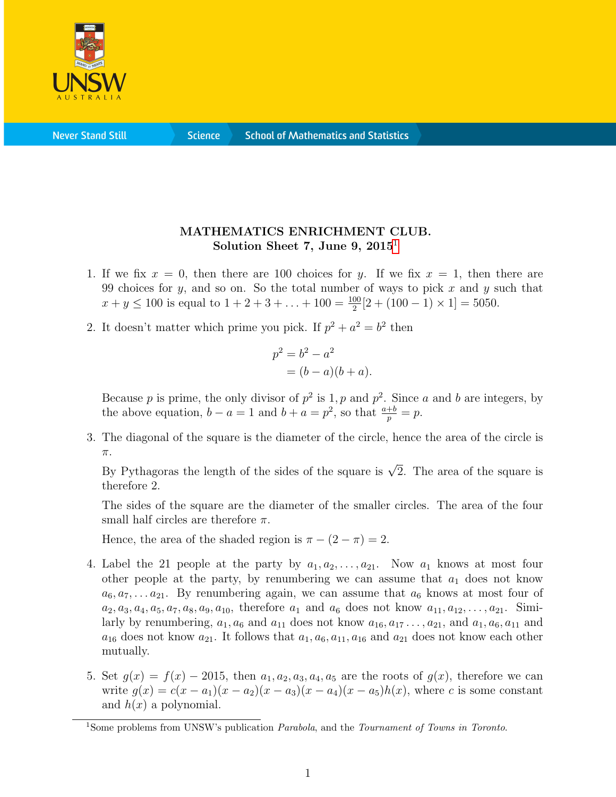

**Never Stand Still** 

**Science** 

## MATHEMATICS ENRICHMENT CLUB. Solution Sheet 7, June 9,  $2015<sup>1</sup>$  $2015<sup>1</sup>$  $2015<sup>1</sup>$

- 1. If we fix  $x = 0$ , then there are 100 choices for y. If we fix  $x = 1$ , then there are 99 choices for y, and so on. So the total number of ways to pick x and y such that  $x + y \le 100$  is equal to  $1 + 2 + 3 + \ldots + 100 = \frac{100}{2} [2 + (100 - 1) \times 1] = 5050.$
- 2. It doesn't matter which prime you pick. If  $p^2 + a^2 = b^2$  then

$$
p2 = b2 - a2
$$
  
= (b - a)(b + a).

Because p is prime, the only divisor of  $p^2$  is 1, p and  $p^2$ . Since a and b are integers, by the above equation,  $b - a = 1$  and  $b + a = p^2$ , so that  $\frac{a+b}{p} = p$ .

3. The diagonal of the square is the diameter of the circle, hence the area of the circle is π.

By Pythagoras the length of the sides of the square is  $\sqrt{2}$ . The area of the square is therefore 2.

The sides of the square are the diameter of the smaller circles. The area of the four small half circles are therefore  $\pi$ .

Hence, the area of the shaded region is  $\pi - (2 - \pi) = 2$ .

- 4. Label the 21 people at the party by  $a_1, a_2, \ldots, a_{21}$ . Now  $a_1$  knows at most four other people at the party, by renumbering we can assume that  $a_1$  does not know  $a_6, a_7, \ldots, a_{21}$ . By renumbering again, we can assume that  $a_6$  knows at most four of  $a_2, a_3, a_4, a_5, a_7, a_8, a_9, a_{10}$ , therefore  $a_1$  and  $a_6$  does not know  $a_{11}, a_{12}, \ldots, a_{21}$ . Similarly by renumbering,  $a_1, a_6$  and  $a_{11}$  does not know  $a_{16}, a_{17}, \ldots, a_{21}$ , and  $a_1, a_6, a_{11}$  and  $a_{16}$  does not know  $a_{21}$ . It follows that  $a_1, a_6, a_{11}, a_{16}$  and  $a_{21}$  does not know each other mutually.
- 5. Set  $q(x) = f(x) 2015$ , then  $a_1, a_2, a_3, a_4, a_5$  are the roots of  $q(x)$ , therefore we can write  $g(x) = c(x - a_1)(x - a_2)(x - a_3)(x - a_4)(x - a_5)h(x)$ , where c is some constant and  $h(x)$  a polynomial.

<span id="page-0-0"></span><sup>&</sup>lt;sup>1</sup>Some problems from UNSW's publication *Parabola*, and the *Tournament of Towns in Toronto*.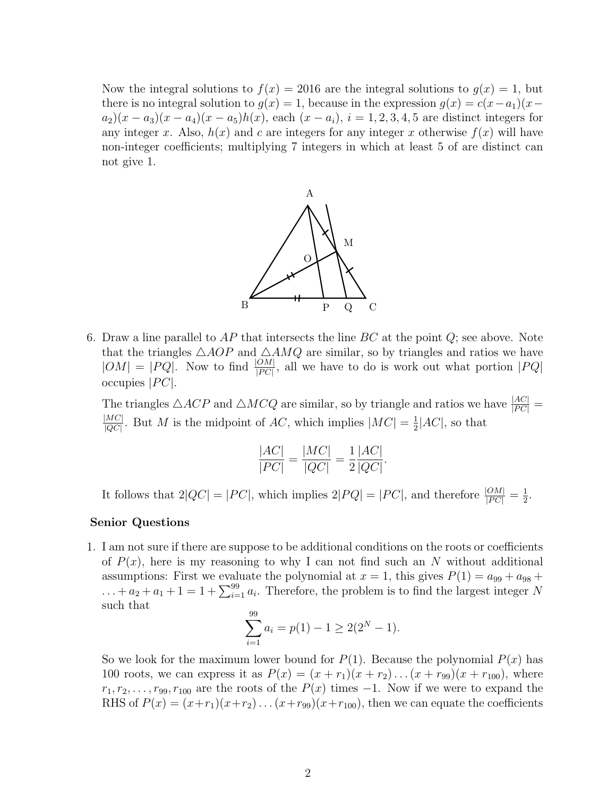Now the integral solutions to  $f(x) = 2016$  are the integral solutions to  $g(x) = 1$ , but there is no integral solution to  $g(x) = 1$ , because in the expression  $g(x) = c(x-a_1)(x (a_2)(x-a_3)(x-a_4)(x-a_5)h(x)$ , each  $(x-a_i)$ ,  $i = 1, 2, 3, 4, 5$  are distinct integers for any integer x. Also,  $h(x)$  and c are integers for any integer x otherwise  $f(x)$  will have non-integer coefficients; multiplying 7 integers in which at least 5 of are distinct can not give 1.



6. Draw a line parallel to  $AP$  that intersects the line  $BC$  at the point  $Q$ ; see above. Note that the triangles  $\triangle AOP$  and  $\triangle AMQ$  are similar, so by triangles and ratios we have  $|OM| = |PQ|$ . Now to find  $\frac{|OM|}{|PC|}$ , all we have to do is work out what portion  $|PQ|$ occupies  $|PC|$ .

The triangles  $\triangle ACP$  and  $\triangle M CQ$  are similar, so by triangle and ratios we have  $\frac{|AC|}{|PC|} =$  $|MC|$  $\frac{[MC]}{[QC]}$ . But M is the midpoint of AC, which implies  $|MC| = \frac{1}{2}$  $\frac{1}{2}$ |AC|, so that

$$
\frac{|AC|}{|PC|} = \frac{|MC|}{|QC|} = \frac{1}{2} \frac{|AC|}{|QC|}.
$$

It follows that  $2|QC| = |PC|$ , which implies  $2|PQ| = |PC|$ , and therefore  $\frac{|OM|}{|PC|} = \frac{1}{2}$  $\frac{1}{2}$ .

## Senior Questions

1. I am not sure if there are suppose to be additional conditions on the roots or coefficients of  $P(x)$ , here is my reasoning to why I can not find such an N without additional assumptions: First we evaluate the polynomial at  $x = 1$ , this gives  $P(1) = a_{99} + a_{98} + a_{99}$  $\ldots + a_2 + a_1 + 1 = 1 + \sum_{i=1}^{99} a_i$ . Therefore, the problem is to find the largest integer N such that

$$
\sum_{i=1}^{99} a_i = p(1) - 1 \ge 2(2^N - 1).
$$

So we look for the maximum lower bound for  $P(1)$ . Because the polynomial  $P(x)$  has 100 roots, we can express it as  $P(x) = (x + r_1)(x + r_2)...(x + r_{99})(x + r_{100})$ , where  $r_1, r_2, \ldots, r_{99}, r_{100}$  are the roots of the  $P(x)$  times  $-1$ . Now if we were to expand the RHS of  $P(x) = (x+r_1)(x+r_2)...(x+r_{99})(x+r_{100})$ , then we can equate the coefficients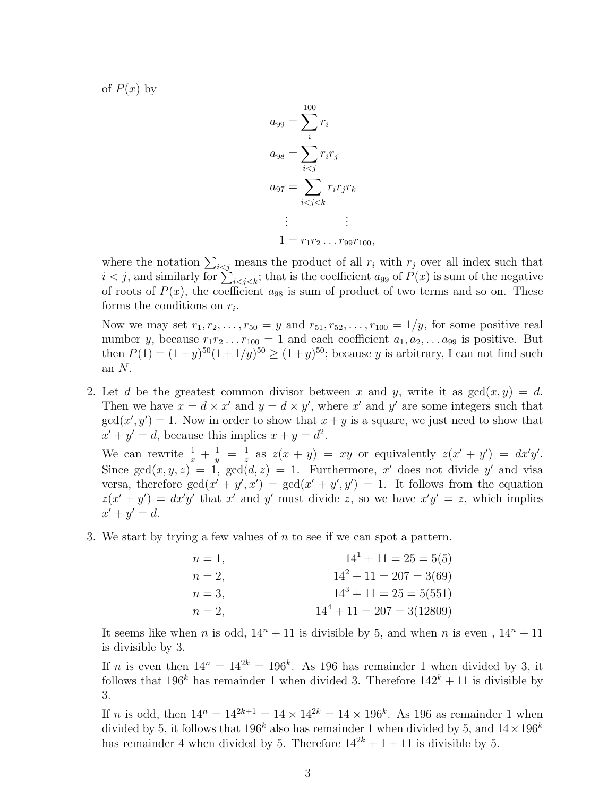of  $P(x)$  by

$$
a_{99} = \sum_{i}^{100} r_i
$$
  
\n
$$
a_{98} = \sum_{i < j} r_i r_j
$$
  
\n
$$
a_{97} = \sum_{i < j < k} r_i r_j r_k
$$
  
\n
$$
\vdots \qquad \vdots
$$
  
\n
$$
1 = r_1 r_2 \dots r_{99} r_{100},
$$

where the notation  $\sum_{i \leq j}$  means the product of all  $r_i$  with  $r_j$  over all index such that  $i < j$ , and similarly for  $\sum_{i < j < k}$ ; that is the coefficient  $a_{99}$  of  $P(x)$  is sum of the negative of roots of  $P(x)$ , the coefficient  $a_{98}$  is sum of product of two terms and so on. These forms the conditions on  $r_i$ .

Now we may set  $r_1, r_2, \ldots, r_{50} = y$  and  $r_{51}, r_{52}, \ldots, r_{100} = 1/y$ , for some positive real number y, because  $r_1r_2 \ldots r_{100} = 1$  and each coefficient  $a_1, a_2, \ldots a_{99}$  is positive. But then  $P(1) = (1+y)^{50}(1+1/y)^{50} \ge (1+y)^{50}$ ; because y is arbitrary, I can not find such an N.

2. Let d be the greatest common divisor between x and y, write it as  $gcd(x, y) = d$ . Then we have  $x = d \times x'$  and  $y = d \times y'$ , where x' and y' are some integers such that  $gcd(x', y') = 1$ . Now in order to show that  $x + y$  is a square, we just need to show that  $x' + y' = d$ , because this implies  $x + y = d^2$ .

We can rewrite  $\frac{1}{x} + \frac{1}{y} = \frac{1}{z}$  $\frac{1}{z}$  as  $z(x + y) = xy$  or equivalently  $z(x' + y') = dx'y'.$ Since  $gcd(x, y, z) = 1$ ,  $gcd(d, z) = 1$ . Furthermore, x' does not divide y' and visa versa, therefore  $gcd(x'+y',x') = gcd(x'+y',y') = 1$ . It follows from the equation  $z(x'+y') = dx'y'$  that x' and y' must divide z, so we have  $x'y' = z$ , which implies  $x' + y' = d.$ 

3. We start by trying a few values of  $n$  to see if we can spot a pattern.

| $n=1,$  | $14^1 + 11 = 25 = 5(5)$      |
|---------|------------------------------|
| $n=2,$  | $14^2 + 11 = 207 = 3(69)$    |
| $n=3$ , | $14^3 + 11 = 25 = 5(551)$    |
| $n=2,$  | $14^4 + 11 = 207 = 3(12809)$ |

It seems like when n is odd,  $14^n + 11$  is divisible by 5, and when n is even,  $14^n + 11$ is divisible by 3.

If *n* is even then  $14^n = 14^{2k} = 196^k$ . As 196 has remainder 1 when divided by 3, it follows that 196<sup>k</sup> has remainder 1 when divided 3. Therefore  $142^k + 11$  is divisible by 3.

If *n* is odd, then  $14^n = 14^{2k+1} = 14 \times 14^{2k} = 14 \times 196^k$ . As 196 as remainder 1 when divided by 5, it follows that 196<sup>k</sup> also has remainder 1 when divided by 5, and  $14 \times 196^k$ has remainder 4 when divided by 5. Therefore  $14^{2k} + 1 + 11$  is divisible by 5.